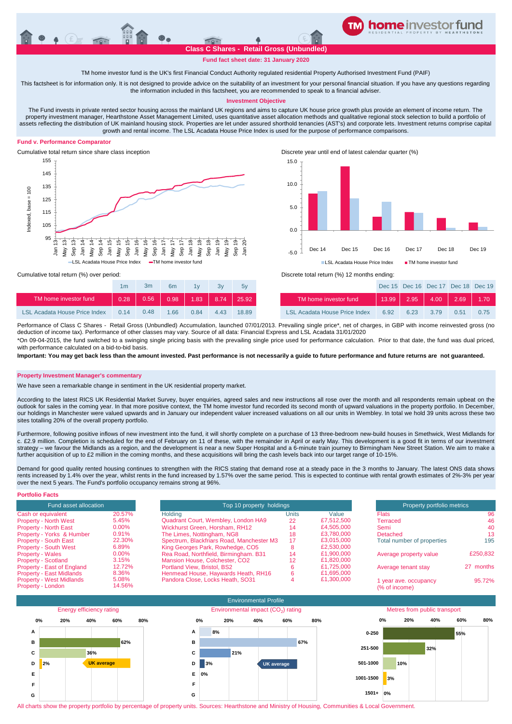

**Fund fact sheet date: 31 January 2020**

TM home investor fund is the UK's first Financial Conduct Authority regulated residential Property Authorised Investment Fund (PAIF)

This factsheet is for information only. It is not designed to provide advice on the suitability of an investment for your personal financial situation. If you have any questions regarding the information included in this factsheet, you are recommended to speak to a financial adviser.

## **Investment Objective**

The Fund invests in private rented sector housing across the mainland UK regions and aims to capture UK house price growth plus provide an element of income return. The property investment manager, Hearthstone Asset Management Limited, uses quantitative asset allocation methods and qualitative regional stock selection to build a portfolio of assets reflecting the distribution of UK mainland housing stock. Properties are let under assured shorthold tenancies (AST's) and corporate lets. Investment returns comprise capital growth and rental income. The LSL Acadata House Price Index is used for the purpose of performance comparisons.

## **Fund v. Performance Comparator**



Cumulative total return since share class inception Discrete year until end of latest calendar quarter (%)



|                                      | 1 <sub>m</sub> | 3m   | 6 <sub>m</sub> | 1 <sub>V</sub> | Зv   | 5v    |                                      |
|--------------------------------------|----------------|------|----------------|----------------|------|-------|--------------------------------------|
| TM home investor fund                | 0.28           | 0.56 | 0.98           | $1.83$ 8.74    |      | 25.92 | TM home investor fund                |
| <b>LSL Acadata House Price Index</b> | 0.14           | 0.48 | 1 66           | 0.84           | 4.43 | 18.89 | <b>LSL Acadata House Price Index</b> |

Cumulative total return (%) over period: Discrete total return (%) 12 months ending:

| 1 <sub>m</sub> | 3m   | 6 <sub>m</sub> | 1v   | 3v   | 5v    |                               |           | Dec 15 Dec 16 Dec 17 Dec 18 Dec 19 |      |      |
|----------------|------|----------------|------|------|-------|-------------------------------|-----------|------------------------------------|------|------|
| 0.28           |      |                |      |      |       | TM home investor fund         |           | 13.99   2.95   4.00   2.69   1.70  |      |      |
| 0.14           | 0.48 | $-1.66$        | 0.84 | 4.43 | 18.89 | LSL Acadata House Price Index | 6.92 6.23 | 3.79                               | 0.51 | 0.75 |
|                |      |                |      |      |       |                               |           |                                    |      |      |

Performance of Class C Shares - Retail Gross (Unbundled) Accumulation, launched 07/01/2013. Prevailing single price\*, net of charges, in GBP with income reinvested gross (no deduction of income tax). Performance of other classes may vary. Source of all data: Financial Express and LSL Acadata 31/01/2020 \*On 09-04-2015, the fund switched to a swinging single pricing basis with the prevailing single price used for performance calculation. Prior to that date, the fund was dual priced,

with performance calculated on a bid-to-bid basis

**Important: You may get back less than the amount invested. Past performance is not necessarily a guide to future performance and future returns are not guaranteed.** 

### **Property Investment Manager's commentary**

We have seen a remarkable change in sentiment in the UK residential property market.

According to the latest RICS UK Residential Market Survey, buyer enquiries, agreed sales and new instructions all rose over the month and all respondents remain upbeat on the outlook for sales in the coming year. In that more positive context, the TM home investor fund recorded its second month of upward valuations in the property portfolio. In December, our holdings in Manchester were valued upwards and in January our independent valuer increased valuations on all our units in Wembley. In total we hold 39 units across these two sites totalling 20% of the overall property portfolio.

Furthermore, following positive inflows of new investment into the fund, it will shortly complete on a purchase of 13 three-bedroom new-build houses in Smethwick, West Midlands for c. £2.9 million. Completion is scheduled for the end of February on 11 of these, with the remainder in April or early May. This development is a good fit in terms of our investment strategy – we favour the Midlands as a region, and the development is near a new Super Hospital and a 6-minute train journey to Birmingham New Street Station. We aim to make a further acquisition of up to £2 million in the coming months, and these acquisitions will bring the cash levels back into our target range of 10-15%.

Demand for good quality rented housing continues to strengthen with the RICS stating that demand rose at a steady pace in the 3 months to January. The latest ONS data shows rents increased by 1.4% over the year, whilst rents in the fund increased by 1.57% over the same period. This is expected to continue with rental growth estimates of 2%-3% per year over the next 5 years. The Fund's portfolio occupancy remains strong at 96%.

| <b>Portfolio Facts</b>                               |                 |                                           |                          |            |                                        |           |  |
|------------------------------------------------------|-----------------|-------------------------------------------|--------------------------|------------|----------------------------------------|-----------|--|
| Fund asset allocation                                |                 |                                           | Top 10 property holdings |            |                                        |           |  |
| Cash or equivalent                                   | 20.57%          | Holding                                   | Units                    | Value      | <b>Flats</b>                           | 96        |  |
| <b>Property - North West</b>                         | 5.45%           | Quadrant Court, Wembley, London HA9       | 22                       | £7,512,500 | Terraced                               | 46        |  |
| <b>Property - North East</b>                         | $0.00\%$        | Wickhurst Green, Horsham, RH12            | 14                       | £4.505.000 | Semi                                   | 40        |  |
| Property - Yorks & Humber                            | 0.91%           | The Limes, Nottingham, NG8                | 18                       | £3.780.000 | Detached                               | 13        |  |
| <b>Property - South East</b>                         | 22.30%          | Spectrum, Blackfriars Road, Manchester M3 | 17                       | £3.015.000 | Total number of properties             | 195       |  |
| <b>Property - South West</b>                         | 6.89%           | King Georges Park, Rowhedge, CO5          | ō                        | £2,530,000 |                                        |           |  |
| <b>Property - Wales</b>                              | $0.00\%$        | Rea Road, Northfield, Birmingham. B31     | 14                       | £1.900.000 | Average property value                 | £250,832  |  |
| <b>Property - Scotland</b>                           | 3.15%           | Mansion House, Colchester, CO2            | 12                       | £1,820,000 |                                        |           |  |
| Property - East of England                           | 12.72%          | Portland View, Bristol, BS2               |                          | £1.725.000 | Average tenant stay                    | 27 months |  |
| <b>Property - East Midlands</b>                      | 8.36%           | Henmead House, Haywards Heath, RH16       | n                        | £1.695.000 |                                        |           |  |
| <b>Property - West Midlands</b><br>Property - London | 5.08%<br>14.56% | Pandora Close, Locks Heath, SO31          |                          | £1.300.000 | 1 year ave. occupancy<br>(% of income) | 95.72%    |  |
|                                                      |                 |                                           |                          |            |                                        |           |  |



All charts show the property portfolio by percentage of property units. Sources: Hearthstone and Ministry of Housing, Communities & Local Government.